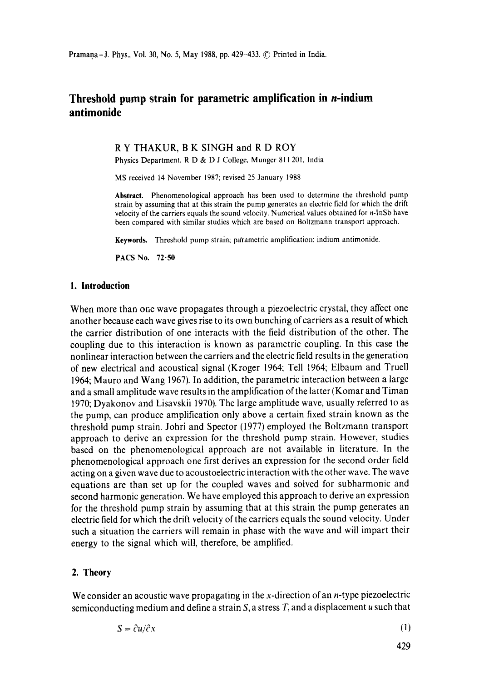# **Threshold pump strain for parametric amplification in n-indium antimonide**

### R Y THAKUR, B K SINGH and R D ROY

Physics Department, R D & D J College, Munger 811 201, India

MS received 14 November 1987; revised 25 January 1988

**Abstract.** Phenomenological approach has been used to determine the threshold pump strain by assuming that at this strain the pump generates an electric field for which the drift velocity of the carriers equals the sound velocity. Numerical values obtained for n-InSb have been compared with similar studies which are based on Boltzmann transport approach.

Keywords. Threshold pump strain; pa'rametric amplification; indium antimonide.

pACS No. 72.50

### **1. Introduction**

When more than one wave propagates through a piezoelectric crystal, they affect one another because each wave gives rise to its own bunching of carriers as a result of which the carrier distribution of one interacts with the field distribution of the other. The coupling due to this interaction is known as parametric coupling. In this case the nonlinear interaction between the carriers and the electric field results in the generation of new electrical and acoustical signal (Kroger 1964; Tell 1964; Elbaum and Truell 1964; Mauro and Wang 1967). In addition, the parametric interaction between a large and a small amplitude wave results in the amplification of the latter (Komar and Timan 1970; Dyakonov and Lisavskii 1970). The large amplitude wave, usually referred to as the pump, can produce amplification only above a certain fixed strain known as the threshold pump strain. Johri and Spector (1977) employed the Boltzmann transport approach to derive an expression for the threshold pump strain. However, studies based on the phenomenologicat approach are not available in literature. In the phenomenological approach one first derives an expression for the second order field acting on a given wave due to acoustoelectric interaction with the other wave. The wave equations are than set up for the coupled waves and solved for subharmonic and second harmonic generation. We have employed this approach to derive an expression for the threshold pump strain by assuming that at this strain the pump generates an electric field for which the drift velocity of the carriers equals the sound velocity. Under such a situation the carriers will remain in phase with the wave and will impart their energy to the signal which will, therefore, be amplified.

## **2. Theory**

We consider an acoustic wave propagating in the x-direction of an *n*-type piezoelectric semiconducting medium and define a strain  $S$ , a stress  $T$ , and a displacement  $u$  such that

$$
S = \partial u / \partial x \tag{1}
$$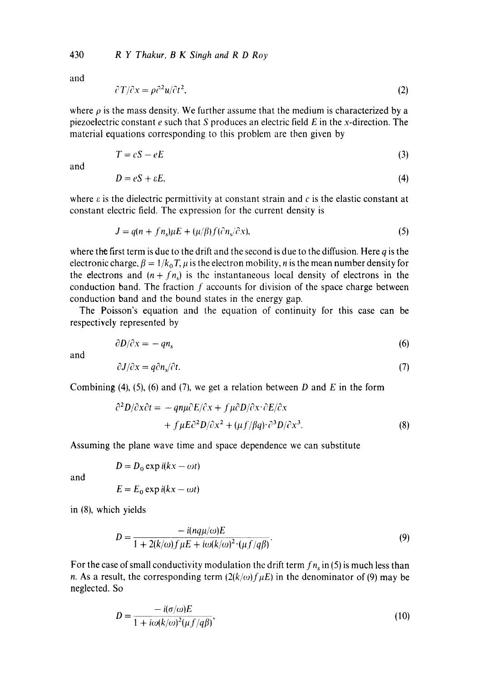430 *R Y Thakur, B K Singh and R D Roy* 

and

$$
\partial T/\partial x = \rho \partial^2 u/\partial t^2,\tag{2}
$$

where  $\rho$  is the mass density. We further assume that the medium is characterized by a piezoelectric constant  $e$  such that S produces an electric field  $E$  in the x-direction. The material equations corresponding to this problem are then given by

$$
T = cS - eE \tag{3}
$$

and

$$
D = eS + \varepsilon E,\tag{4}
$$

where  $\varepsilon$  is the dielectric permittivity at constant strain and c is the elastic constant at constant electric field. The expression for the current density is

$$
J = q(n + fn_s)\mu E + (\mu/\beta)f(\partial n_s/\partial x),\tag{5}
$$

where the first term is due to the drift and the second is due to the diffusion. Here  $q$  is the electronic charge,  $\beta = 1/k_0 T$ ,  $\mu$  is the electron mobility, *n* is the mean number density for the electrons and  $(n + fn_s)$  is the instantaneous local density of electrons in the conduction band. The fraction  $f$  accounts for division of the space charge between conduction band and the bound states in the energy gap.

The Poisson's equation and the equation of continuity for this case can be respectively represented by

$$
\partial D/\partial x = -qn_s \tag{6}
$$

and

$$
\partial J/\partial x = q \partial n_s/\partial t. \tag{7}
$$

Combining (4), (5), (6) and (7), we get a relation between D and E in the form

$$
\partial^2 D/\partial x \partial t = -q n \mu \partial E/\partial x + f \mu \partial D/\partial x \cdot \partial E/\partial x
$$
  
+  $f \mu E \partial^2 D/\partial x^2 + (\mu f/\beta q) \cdot \partial^3 D/\partial x^3$ . (8)

Assuming the plane wave time and space dependence we can substitute

and

$$
E = E_0 \exp i(kx - \omega t)
$$

 $D = D_0 \exp i(kx - \omega t)$ 

in (8), which yields

$$
D = \frac{-i(nq\mu/\omega)E}{1 + 2(k/\omega)f\mu E + i\omega(k/\omega)^2 \cdot (\mu f/q\beta)}.
$$
\n(9)

For the case of small conductivity modulation the drift term  $fn_s$  in (5) is much less than n. As a result, the corresponding term  $\left(\frac{2(k}{\omega})\right)$  f<sub>H</sub>E) in the denominator of (9) may be neglected. So

$$
D = \frac{-i(\sigma/\omega)E}{1 + i\omega(k/\omega)^2(\mu f/q\beta)},
$$
\n(10)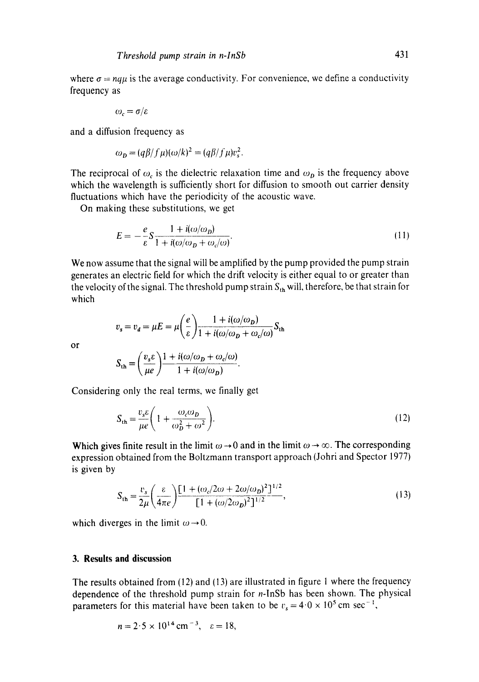where  $\sigma = nq\mu$  is the average conductivity. For convenience, we define a conductivity frequency as

$$
\omega_c = \sigma/\varepsilon
$$

and a diffusion frequency as

$$
\omega_{\mathbf{D}} = (q\beta/f\mu)(\omega/k)^2 = (q\beta/f\mu)v_s^2.
$$

The reciprocal of  $\omega_c$  is the dielectric relaxation time and  $\omega_D$  is the frequency above which the wavelength is sufficiently short for diffusion to smooth out carrier density fluctuations which have the periodicity of the acoustic wave.

On making these substitutions, we get

$$
E = -\frac{e}{\varepsilon} S \frac{1 + i(\omega/\omega_D)}{1 + i(\omega/\omega_D + \omega_c/\omega)}.
$$
\n(11)

We now assume that the signal will be amplified by the pump provided the pump strain generates an electric field for which the drift velocity is either equal to or greater than the velocity of the signal. The threshold pump strain  $S_{th}$  will, therefore, be that strain for which

$$
v_s = v_d = \mu E = \mu \left(\frac{e}{\varepsilon}\right) \frac{1 + i(\omega/\omega_D)}{1 + i(\omega/\omega_D + \omega_c/\omega)} S_{th}
$$

or

$$
S_{\text{th}} = \left(\frac{v_s \varepsilon}{\mu e}\right) \frac{1 + i(\omega/\omega_D + \omega_c/\omega)}{1 + i(\omega/\omega_D)}.
$$

Considering only the real terms, we finally get

$$
S_{\rm th} = \frac{v_s \varepsilon}{\mu e} \left( 1 + \frac{\omega_c \omega_D}{\omega_D^2 + \omega^2} \right). \tag{12}
$$

Which gives finite result in the limit  $\omega \rightarrow 0$  and in the limit  $\omega \rightarrow \infty$ . The corresponding expression obtained from the Boltzmann transport approach (Johri and Spector 1977) is given by

$$
S_{\text{th}} = \frac{v_s}{2\mu} \left( \frac{\varepsilon}{4\pi e} \right) \frac{\left[ 1 + (\omega_c/2\omega + 2\omega/\omega_D)^2 \right]^{1/2}}{\left[ 1 + (\omega/2\omega_D)^2 \right]^{1/2}},\tag{13}
$$

which diverges in the limit  $\omega \rightarrow 0$ .

## **3. Results and discussion**

The results obtained from (12) and (13) are illustrated in figure 1 where the frequency dependence of the threshold pump strain for n-InSb has been shown. The physical parameters for this material have been taken to be  $v_s = 4.0 \times 10^5$  cm sec<sup>-1</sup>,

$$
n = 2.5 \times 10^{14} \text{ cm}^{-3}, \quad \varepsilon = 18,
$$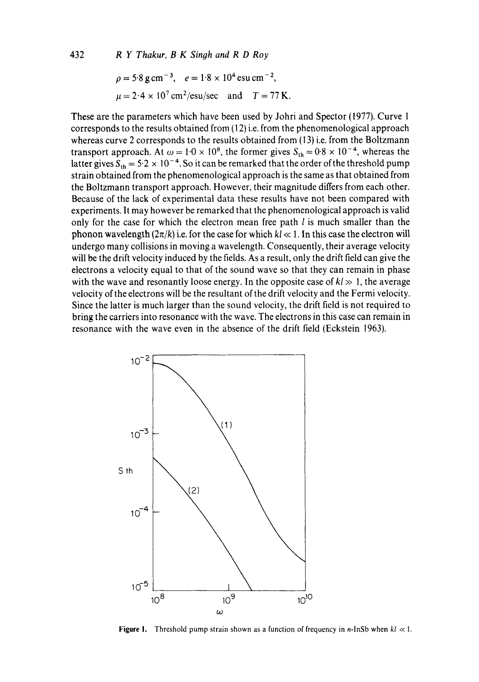$$
\rho = 5.8 \text{ g cm}^{-3}
$$
,  $e = 1.8 \times 10^4 \text{ esu cm}^{-2}$ ,  
\n $\mu = 2.4 \times 10^7 \text{ cm}^2/\text{esu/sec}$  and  $T = 77 \text{ K}$ .

These are the parameters which have been used by Johri and Spector (1977). Curve 1 corresponds to the results obtained from (12) i.e. from the phenomenological approach whereas curve 2 corresponds to the results obtained from (13) i.e. from the Boltzmann transport approach. At  $\omega = 1.0 \times 10^8$ , the former gives  $S_{th} = 0.8 \times 10^{-4}$ , whereas the latter gives  $S_{th} = 5.2 \times 10^{-4}$ . So it can be remarked that the order of the threshold pump strain obtained from the phenomenological approach is the same as that obtained from the Boltzmann transport approach. However, their magnitude differs from each other. Because of the lack of experimental data these results have not been compared with experiments. It may however be remarked that the phenomenological approach is valid only for the case for which the electron mean free path  $l$  is much smaller than the phonon wavelength  $(2\pi/k)$  i.e. for the case for which  $kl \ll 1$ . In this case the electron will undergo many collisions in moving a wavelength. Consequently, their average velocity will be the drift velocity induced by the fields. As a result, only the drift field can give the electrons a velocity equal to that of the sound wave so that they can remain in phase with the wave and resonantly loose energy. In the opposite case of  $kl \gg 1$ , the average velocity of the electrons will be the resultant of the drift velocity and the Fermi velocity. Since the latter is much larger than the sound velocity, the drift field is not required to bring the carriers into resonance with the wave. The electrons in this case can remain in resonance with the wave even in the absence of the drift field (Eckstein 1963).



**Figure 1.** Threshold pump strain shown as a function of frequency in *n*-InSb when  $kl \ll 1$ .